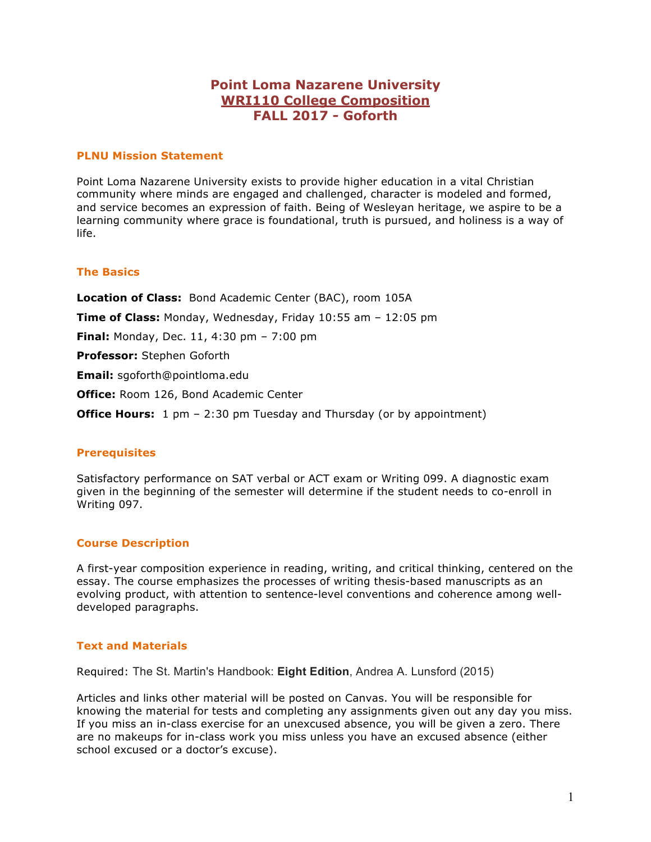# **Point Loma Nazarene University WRI110 College Composition FALL 2017 - Goforth**

### **PLNU Mission Statement**

Point Loma Nazarene University exists to provide higher education in a vital Christian community where minds are engaged and challenged, character is modeled and formed, and service becomes an expression of faith. Being of Wesleyan heritage, we aspire to be a learning community where grace is foundational, truth is pursued, and holiness is a way of life.

### **The Basics**

**Location of Class:** Bond Academic Center (BAC), room 105A **Time of Class:** Monday, Wednesday, Friday 10:55 am – 12:05 pm **Final:** Monday, Dec. 11, 4:30 pm – 7:00 pm **Professor:** Stephen Goforth **Email:** sgoforth@pointloma.edu **Office:** Room 126, Bond Academic Center **Office Hours:** 1 pm - 2:30 pm Tuesday and Thursday (or by appointment)

### **Prerequisites**

Satisfactory performance on SAT verbal or ACT exam or Writing 099. A diagnostic exam given in the beginning of the semester will determine if the student needs to co-enroll in Writing 097.

### **Course Description**

A first-year composition experience in reading, writing, and critical thinking, centered on the essay. The course emphasizes the processes of writing thesis-based manuscripts as an evolving product, with attention to sentence-level conventions and coherence among welldeveloped paragraphs.

#### **Text and Materials**

Required: The St. Martin's Handbook: **Eight Edition**, Andrea A. Lunsford (2015)

Articles and links other material will be posted on Canvas. You will be responsible for knowing the material for tests and completing any assignments given out any day you miss. If you miss an in-class exercise for an unexcused absence, you will be given a zero. There are no makeups for in-class work you miss unless you have an excused absence (either school excused or a doctor's excuse).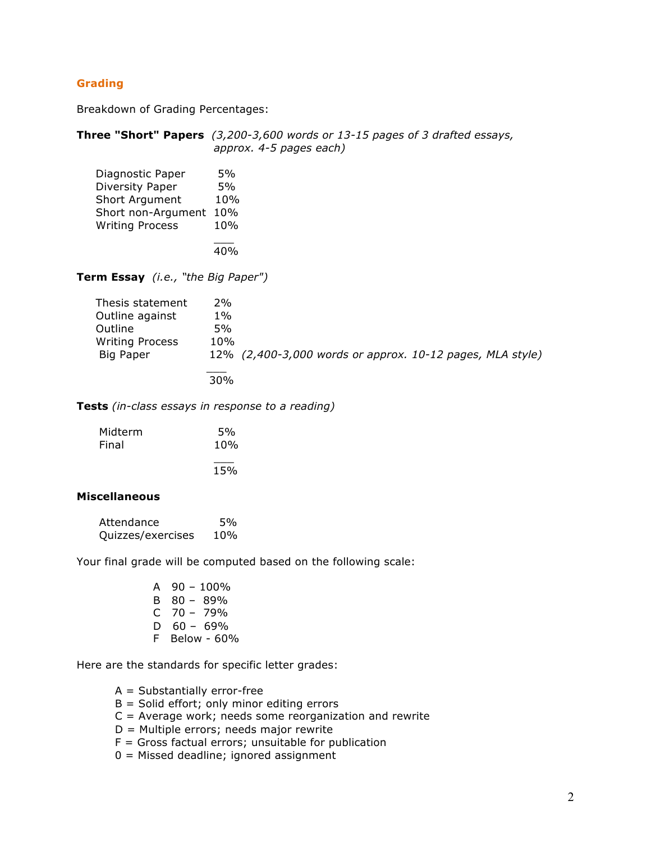## **Grading**

Breakdown of Grading Percentages:

|                                                                                                           | <b>Three "Short" Papers</b> $(3,200-3,600$ words or 13-15 pages of 3 drafted essays,<br>approx. 4-5 pages each) |
|-----------------------------------------------------------------------------------------------------------|-----------------------------------------------------------------------------------------------------------------|
| Diagnostic Paper<br>Diversity Paper<br>Short Argument<br>Short non-Argument 10%<br><b>Writing Process</b> | 5%<br>5%<br>10%<br>10%                                                                                          |
|                                                                                                           | 40%                                                                                                             |
| <b>Term Essay</b> ( <i>i.e.</i> , "the Big Paper")                                                        |                                                                                                                 |
| Thesis statement<br>Outline against<br>Outline<br><b>Writing Process</b><br>Big Paper                     | 2%<br>$1\%$<br>5%<br>10%<br>12% (2,400-3,000 words or approx. 10-12 pages, MLA style)<br>30%                    |

**Tests** *(in-class essays in response to a reading)*

| Midterm | 5%  |
|---------|-----|
| Final   | 10% |
|         |     |
|         | 15% |

### **Miscellaneous**

| Attendance        | .5% |
|-------------------|-----|
| Quizzes/exercises | 10% |

Your final grade will be computed based on the following scale:

| А  | $90 - 100\%$ |
|----|--------------|
| в  | $80 - 89\%$  |
| C  | $70 - 79%$   |
| D  | $60 - 69\%$  |
| F. | Below - 60%  |

Here are the standards for specific letter grades:

- A = Substantially error-free
- $B =$  Solid effort; only minor editing errors
- C = Average work; needs some reorganization and rewrite
- $D =$  Multiple errors; needs major rewrite
- $F =$  Gross factual errors; unsuitable for publication
- 0 = Missed deadline; ignored assignment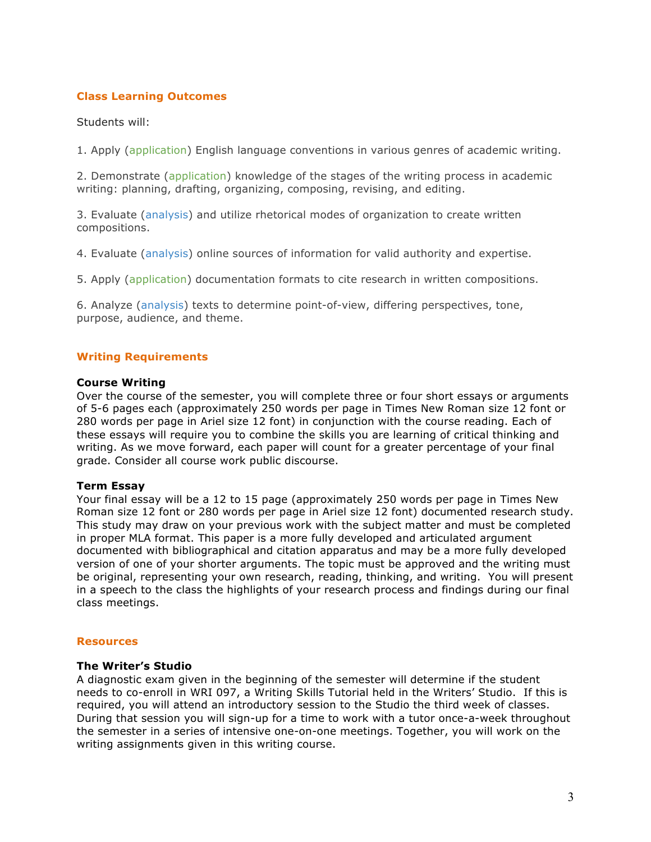## **Class Learning Outcomes**

#### Students will:

1. Apply (application) English language conventions in various genres of academic writing.

2. Demonstrate (application) knowledge of the stages of the writing process in academic writing: planning, drafting, organizing, composing, revising, and editing.

3. Evaluate (analysis) and utilize rhetorical modes of organization to create written compositions.

4. Evaluate (analysis) online sources of information for valid authority and expertise.

5. Apply (application) documentation formats to cite research in written compositions.

6. Analyze (analysis) texts to determine point-of-view, differing perspectives, tone, purpose, audience, and theme.

### **Writing Requirements**

#### **Course Writing**

Over the course of the semester, you will complete three or four short essays or arguments of 5-6 pages each (approximately 250 words per page in Times New Roman size 12 font or 280 words per page in Ariel size 12 font) in conjunction with the course reading. Each of these essays will require you to combine the skills you are learning of critical thinking and writing. As we move forward, each paper will count for a greater percentage of your final grade. Consider all course work public discourse.

#### **Term Essay**

Your final essay will be a 12 to 15 page (approximately 250 words per page in Times New Roman size 12 font or 280 words per page in Ariel size 12 font) documented research study. This study may draw on your previous work with the subject matter and must be completed in proper MLA format. This paper is a more fully developed and articulated argument documented with bibliographical and citation apparatus and may be a more fully developed version of one of your shorter arguments. The topic must be approved and the writing must be original, representing your own research, reading, thinking, and writing. You will present in a speech to the class the highlights of your research process and findings during our final class meetings.

#### **Resources**

#### **The Writer's Studio**

A diagnostic exam given in the beginning of the semester will determine if the student needs to co-enroll in WRI 097, a Writing Skills Tutorial held in the Writers' Studio. If this is required, you will attend an introductory session to the Studio the third week of classes. During that session you will sign-up for a time to work with a tutor once-a-week throughout the semester in a series of intensive one-on-one meetings. Together, you will work on the writing assignments given in this writing course.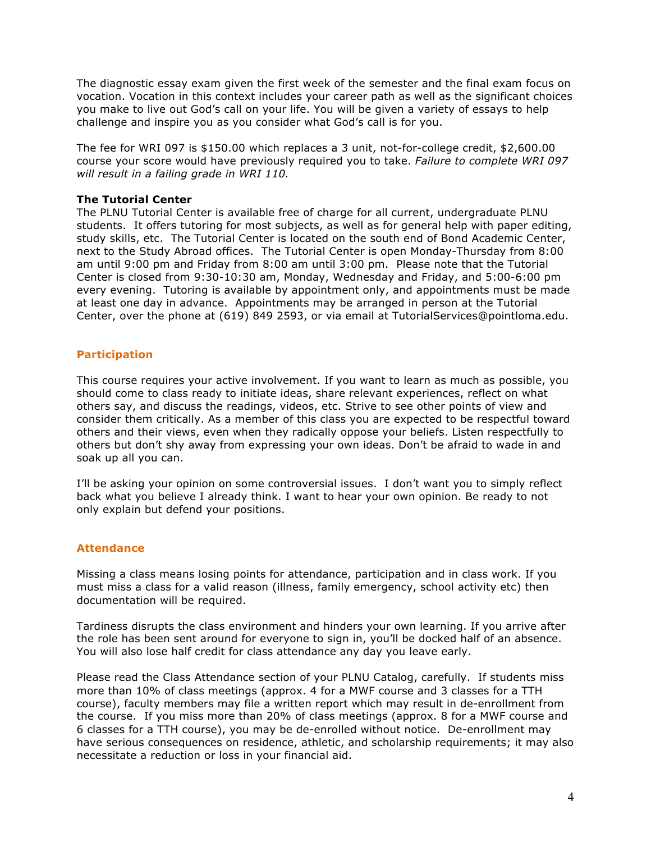The diagnostic essay exam given the first week of the semester and the final exam focus on vocation. Vocation in this context includes your career path as well as the significant choices you make to live out God's call on your life. You will be given a variety of essays to help challenge and inspire you as you consider what God's call is for you.

The fee for WRI 097 is \$150.00 which replaces a 3 unit, not-for-college credit, \$2,600.00 course your score would have previously required you to take. *Failure to complete WRI 097 will result in a failing grade in WRI 110.*

### **The Tutorial Center**

The PLNU Tutorial Center is available free of charge for all current, undergraduate PLNU students. It offers tutoring for most subjects, as well as for general help with paper editing, study skills, etc. The Tutorial Center is located on the south end of Bond Academic Center, next to the Study Abroad offices. The Tutorial Center is open Monday-Thursday from 8:00 am until 9:00 pm and Friday from 8:00 am until 3:00 pm. Please note that the Tutorial Center is closed from 9:30-10:30 am, Monday, Wednesday and Friday, and 5:00-6:00 pm every evening. Tutoring is available by appointment only, and appointments must be made at least one day in advance. Appointments may be arranged in person at the Tutorial Center, over the phone at (619) 849 2593, or via email at TutorialServices@pointloma.edu.

## **Participation**

This course requires your active involvement. If you want to learn as much as possible, you should come to class ready to initiate ideas, share relevant experiences, reflect on what others say, and discuss the readings, videos, etc. Strive to see other points of view and consider them critically. As a member of this class you are expected to be respectful toward others and their views, even when they radically oppose your beliefs. Listen respectfully to others but don't shy away from expressing your own ideas. Don't be afraid to wade in and soak up all you can.

I'll be asking your opinion on some controversial issues. I don't want you to simply reflect back what you believe I already think. I want to hear your own opinion. Be ready to not only explain but defend your positions.

### **Attendance**

Missing a class means losing points for attendance, participation and in class work. If you must miss a class for a valid reason (illness, family emergency, school activity etc) then documentation will be required.

Tardiness disrupts the class environment and hinders your own learning. If you arrive after the role has been sent around for everyone to sign in, you'll be docked half of an absence. You will also lose half credit for class attendance any day you leave early.

Please read the Class Attendance section of your PLNU Catalog, carefully. If students miss more than 10% of class meetings (approx. 4 for a MWF course and 3 classes for a TTH course), faculty members may file a written report which may result in de-enrollment from the course. If you miss more than 20% of class meetings (approx. 8 for a MWF course and 6 classes for a TTH course), you may be de-enrolled without notice. De-enrollment may have serious consequences on residence, athletic, and scholarship requirements; it may also necessitate a reduction or loss in your financial aid.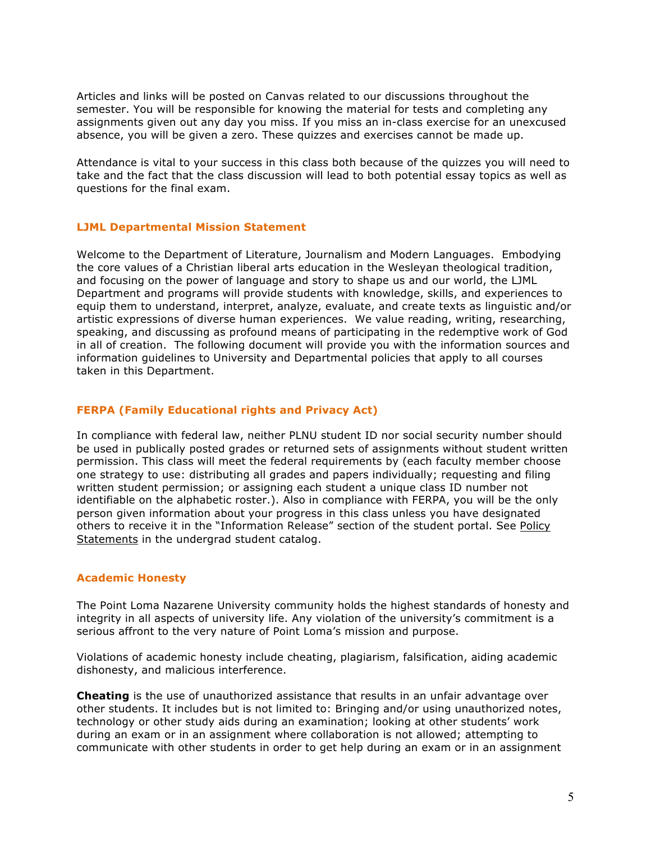Articles and links will be posted on Canvas related to our discussions throughout the semester. You will be responsible for knowing the material for tests and completing any assignments given out any day you miss. If you miss an in-class exercise for an unexcused absence, you will be given a zero. These quizzes and exercises cannot be made up.

Attendance is vital to your success in this class both because of the quizzes you will need to take and the fact that the class discussion will lead to both potential essay topics as well as questions for the final exam.

### **LJML Departmental Mission Statement**

Welcome to the Department of Literature, Journalism and Modern Languages. Embodying the core values of a Christian liberal arts education in the Wesleyan theological tradition, and focusing on the power of language and story to shape us and our world, the LJML Department and programs will provide students with knowledge, skills, and experiences to equip them to understand, interpret, analyze, evaluate, and create texts as linguistic and/or artistic expressions of diverse human experiences. We value reading, writing, researching, speaking, and discussing as profound means of participating in the redemptive work of God in all of creation. The following document will provide you with the information sources and information guidelines to University and Departmental policies that apply to all courses taken in this Department.

### **FERPA (Family Educational rights and Privacy Act)**

In compliance with federal law, neither PLNU student ID nor social security number should be used in publically posted grades or returned sets of assignments without student written permission. This class will meet the federal requirements by (each faculty member choose one strategy to use: distributing all grades and papers individually; requesting and filing written student permission; or assigning each student a unique class ID number not identifiable on the alphabetic roster.). Also in compliance with FERPA, you will be the only person given information about your progress in this class unless you have designated others to receive it in the "Information Release" section of the student portal. See Policy Statements in the undergrad student catalog.

### **Academic Honesty**

The Point Loma Nazarene University community holds the highest standards of honesty and integrity in all aspects of university life. Any violation of the university's commitment is a serious affront to the very nature of Point Loma's mission and purpose.

Violations of academic honesty include cheating, plagiarism, falsification, aiding academic dishonesty, and malicious interference.

**Cheating** is the use of unauthorized assistance that results in an unfair advantage over other students. It includes but is not limited to: Bringing and/or using unauthorized notes, technology or other study aids during an examination; looking at other students' work during an exam or in an assignment where collaboration is not allowed; attempting to communicate with other students in order to get help during an exam or in an assignment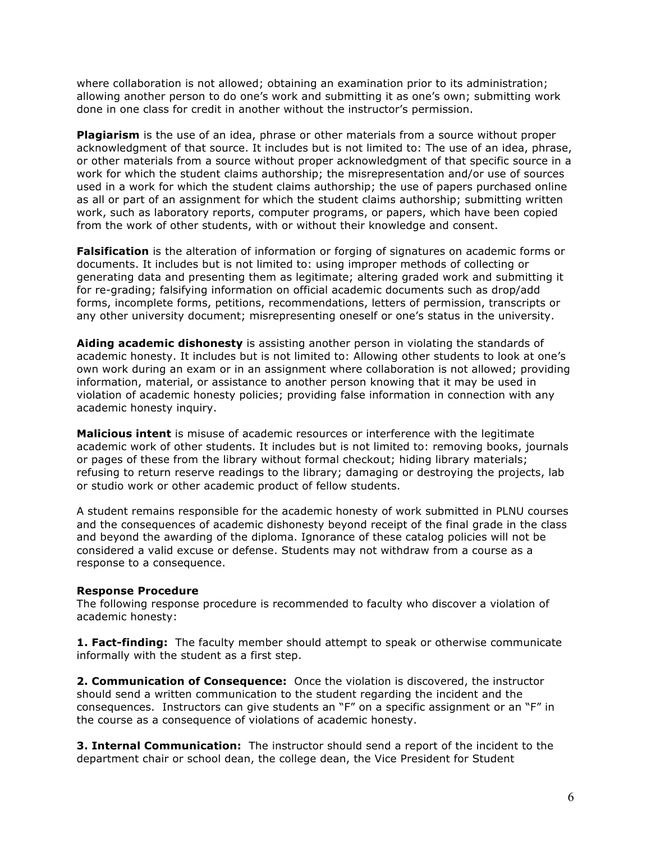where collaboration is not allowed; obtaining an examination prior to its administration; allowing another person to do one's work and submitting it as one's own; submitting work done in one class for credit in another without the instructor's permission.

**Plagiarism** is the use of an idea, phrase or other materials from a source without proper acknowledgment of that source. It includes but is not limited to: The use of an idea, phrase, or other materials from a source without proper acknowledgment of that specific source in a work for which the student claims authorship; the misrepresentation and/or use of sources used in a work for which the student claims authorship; the use of papers purchased online as all or part of an assignment for which the student claims authorship; submitting written work, such as laboratory reports, computer programs, or papers, which have been copied from the work of other students, with or without their knowledge and consent.

**Falsification** is the alteration of information or forging of signatures on academic forms or documents. It includes but is not limited to: using improper methods of collecting or generating data and presenting them as legitimate; altering graded work and submitting it for re-grading; falsifying information on official academic documents such as drop/add forms, incomplete forms, petitions, recommendations, letters of permission, transcripts or any other university document; misrepresenting oneself or one's status in the university.

**Aiding academic dishonesty** is assisting another person in violating the standards of academic honesty. It includes but is not limited to: Allowing other students to look at one's own work during an exam or in an assignment where collaboration is not allowed; providing information, material, or assistance to another person knowing that it may be used in violation of academic honesty policies; providing false information in connection with any academic honesty inquiry.

**Malicious intent** is misuse of academic resources or interference with the legitimate academic work of other students. It includes but is not limited to: removing books, journals or pages of these from the library without formal checkout; hiding library materials; refusing to return reserve readings to the library; damaging or destroying the projects, lab or studio work or other academic product of fellow students.

A student remains responsible for the academic honesty of work submitted in PLNU courses and the consequences of academic dishonesty beyond receipt of the final grade in the class and beyond the awarding of the diploma. Ignorance of these catalog policies will not be considered a valid excuse or defense. Students may not withdraw from a course as a response to a consequence.

### **Response Procedure**

The following response procedure is recommended to faculty who discover a violation of academic honesty:

**1. Fact-finding:** The faculty member should attempt to speak or otherwise communicate informally with the student as a first step.

**2. Communication of Consequence:** Once the violation is discovered, the instructor should send a written communication to the student regarding the incident and the consequences. Instructors can give students an "F" on a specific assignment or an "F" in the course as a consequence of violations of academic honesty.

**3. Internal Communication:** The instructor should send a report of the incident to the department chair or school dean, the college dean, the Vice President for Student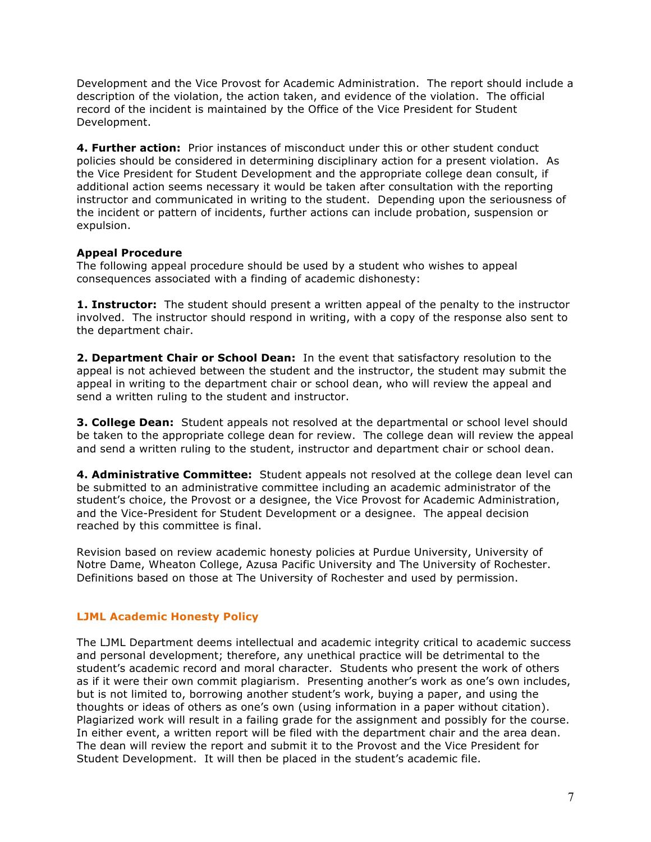Development and the Vice Provost for Academic Administration. The report should include a description of the violation, the action taken, and evidence of the violation. The official record of the incident is maintained by the Office of the Vice President for Student Development.

**4. Further action:** Prior instances of misconduct under this or other student conduct policies should be considered in determining disciplinary action for a present violation. As the Vice President for Student Development and the appropriate college dean consult, if additional action seems necessary it would be taken after consultation with the reporting instructor and communicated in writing to the student. Depending upon the seriousness of the incident or pattern of incidents, further actions can include probation, suspension or expulsion.

## **Appeal Procedure**

The following appeal procedure should be used by a student who wishes to appeal consequences associated with a finding of academic dishonesty:

**1. Instructor:** The student should present a written appeal of the penalty to the instructor involved. The instructor should respond in writing, with a copy of the response also sent to the department chair.

**2. Department Chair or School Dean:** In the event that satisfactory resolution to the appeal is not achieved between the student and the instructor, the student may submit the appeal in writing to the department chair or school dean, who will review the appeal and send a written ruling to the student and instructor.

**3. College Dean:** Student appeals not resolved at the departmental or school level should be taken to the appropriate college dean for review. The college dean will review the appeal and send a written ruling to the student, instructor and department chair or school dean.

**4. Administrative Committee:** Student appeals not resolved at the college dean level can be submitted to an administrative committee including an academic administrator of the student's choice, the Provost or a designee, the Vice Provost for Academic Administration, and the Vice-President for Student Development or a designee. The appeal decision reached by this committee is final.

Revision based on review academic honesty policies at Purdue University, University of Notre Dame, Wheaton College, Azusa Pacific University and The University of Rochester. Definitions based on those at The University of Rochester and used by permission.

## **LJML Academic Honesty Policy**

The LJML Department deems intellectual and academic integrity critical to academic success and personal development; therefore, any unethical practice will be detrimental to the student's academic record and moral character. Students who present the work of others as if it were their own commit plagiarism. Presenting another's work as one's own includes, but is not limited to, borrowing another student's work, buying a paper, and using the thoughts or ideas of others as one's own (using information in a paper without citation). Plagiarized work will result in a failing grade for the assignment and possibly for the course. In either event, a written report will be filed with the department chair and the area dean. The dean will review the report and submit it to the Provost and the Vice President for Student Development. It will then be placed in the student's academic file.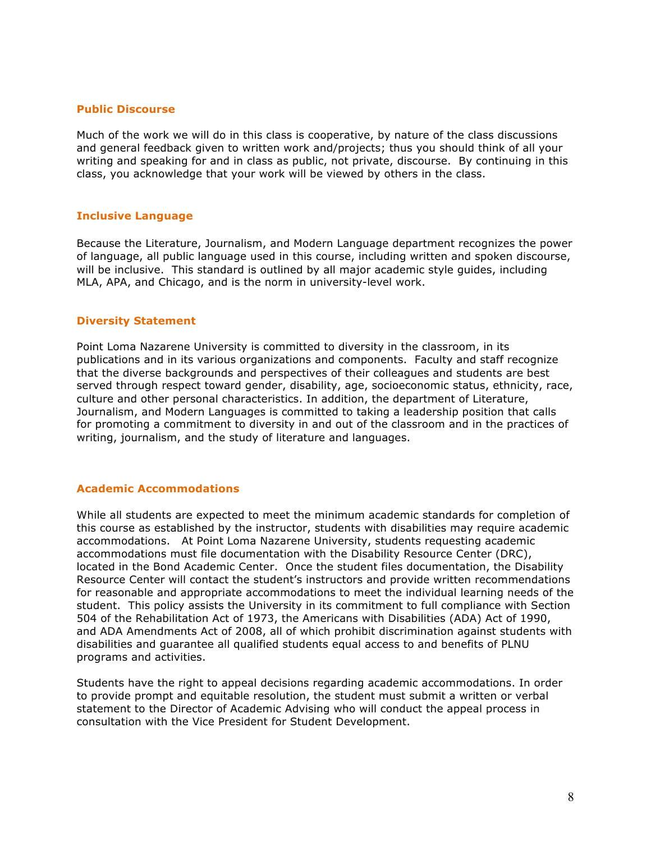#### **Public Discourse**

Much of the work we will do in this class is cooperative, by nature of the class discussions and general feedback given to written work and/projects; thus you should think of all your writing and speaking for and in class as public, not private, discourse. By continuing in this class, you acknowledge that your work will be viewed by others in the class.

#### **Inclusive Language**

Because the Literature, Journalism, and Modern Language department recognizes the power of language, all public language used in this course, including written and spoken discourse, will be inclusive. This standard is outlined by all major academic style guides, including MLA, APA, and Chicago, and is the norm in university-level work.

#### **Diversity Statement**

Point Loma Nazarene University is committed to diversity in the classroom, in its publications and in its various organizations and components. Faculty and staff recognize that the diverse backgrounds and perspectives of their colleagues and students are best served through respect toward gender, disability, age, socioeconomic status, ethnicity, race, culture and other personal characteristics. In addition, the department of Literature, Journalism, and Modern Languages is committed to taking a leadership position that calls for promoting a commitment to diversity in and out of the classroom and in the practices of writing, journalism, and the study of literature and languages.

### **Academic Accommodations**

While all students are expected to meet the minimum academic standards for completion of this course as established by the instructor, students with disabilities may require academic accommodations. At Point Loma Nazarene University, students requesting academic accommodations must file documentation with the Disability Resource Center (DRC), located in the Bond Academic Center. Once the student files documentation, the Disability Resource Center will contact the student's instructors and provide written recommendations for reasonable and appropriate accommodations to meet the individual learning needs of the student. This policy assists the University in its commitment to full compliance with Section 504 of the Rehabilitation Act of 1973, the Americans with Disabilities (ADA) Act of 1990, and ADA Amendments Act of 2008, all of which prohibit discrimination against students with disabilities and guarantee all qualified students equal access to and benefits of PLNU programs and activities.

Students have the right to appeal decisions regarding academic accommodations. In order to provide prompt and equitable resolution, the student must submit a written or verbal statement to the Director of Academic Advising who will conduct the appeal process in consultation with the Vice President for Student Development.